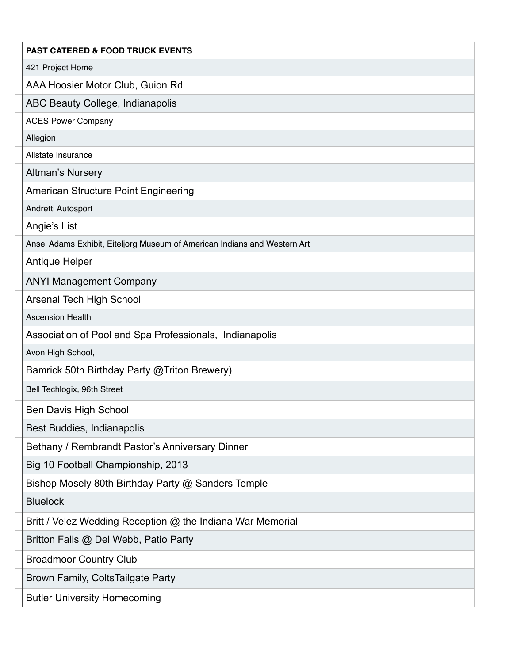| <b>PAST CATERED &amp; FOOD TRUCK EVENTS</b>                               |
|---------------------------------------------------------------------------|
| 421 Project Home                                                          |
| AAA Hoosier Motor Club, Guion Rd                                          |
| ABC Beauty College, Indianapolis                                          |
| <b>ACES Power Company</b>                                                 |
| Allegion                                                                  |
| Allstate Insurance                                                        |
| <b>Altman's Nursery</b>                                                   |
| <b>American Structure Point Engineering</b>                               |
| Andretti Autosport                                                        |
| Angie's List                                                              |
| Ansel Adams Exhibit, Eiteljorg Museum of American Indians and Western Art |
| Antique Helper                                                            |
| <b>ANYI Management Company</b>                                            |
| <b>Arsenal Tech High School</b>                                           |
| <b>Ascension Health</b>                                                   |
| Association of Pool and Spa Professionals, Indianapolis                   |
| Avon High School,                                                         |
| Bamrick 50th Birthday Party @ Triton Brewery)                             |
| Bell Techlogix, 96th Street                                               |
| <b>Ben Davis High School</b>                                              |
| Best Buddies, Indianapolis                                                |
| Bethany / Rembrandt Pastor's Anniversary Dinner                           |
| Big 10 Football Championship, 2013                                        |
| Bishop Mosely 80th Birthday Party @ Sanders Temple                        |
| <b>Bluelock</b>                                                           |
| Britt / Velez Wedding Reception @ the Indiana War Memorial                |
| Britton Falls @ Del Webb, Patio Party                                     |
| <b>Broadmoor Country Club</b>                                             |
| Brown Family, ColtsTailgate Party                                         |
| <b>Butler University Homecoming</b>                                       |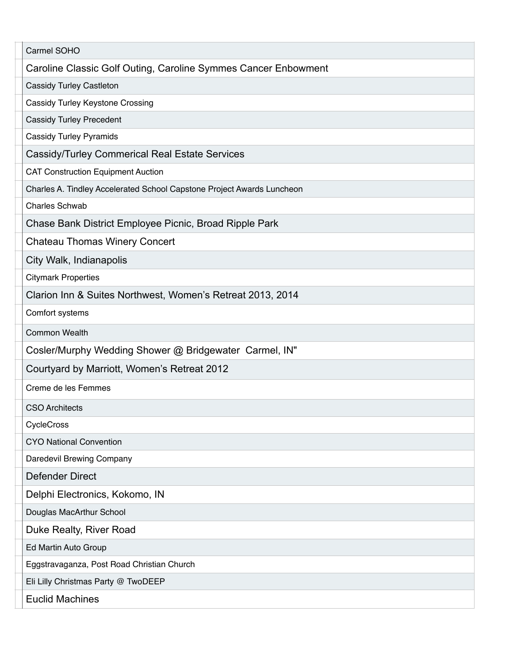| Carmel SOHO                                                            |
|------------------------------------------------------------------------|
| Caroline Classic Golf Outing, Caroline Symmes Cancer Enbowment         |
| <b>Cassidy Turley Castleton</b>                                        |
| Cassidy Turley Keystone Crossing                                       |
| <b>Cassidy Turley Precedent</b>                                        |
| <b>Cassidy Turley Pyramids</b>                                         |
| <b>Cassidy/Turley Commerical Real Estate Services</b>                  |
| <b>CAT Construction Equipment Auction</b>                              |
| Charles A. Tindley Accelerated School Capstone Project Awards Luncheon |
| <b>Charles Schwab</b>                                                  |
| Chase Bank District Employee Picnic, Broad Ripple Park                 |
| <b>Chateau Thomas Winery Concert</b>                                   |
| City Walk, Indianapolis                                                |
| <b>Citymark Properties</b>                                             |
| Clarion Inn & Suites Northwest, Women's Retreat 2013, 2014             |
| Comfort systems                                                        |
| <b>Common Wealth</b>                                                   |
| Cosler/Murphy Wedding Shower @ Bridgewater Carmel, IN"                 |
| Courtyard by Marriott, Women's Retreat 2012                            |
| Creme de les Femmes                                                    |
| <b>CSO Architects</b>                                                  |
| CycleCross                                                             |
| <b>CYO National Convention</b>                                         |
| Daredevil Brewing Company                                              |
| <b>Defender Direct</b>                                                 |
| Delphi Electronics, Kokomo, IN                                         |
| Douglas MacArthur School                                               |
| Duke Realty, River Road                                                |
| Ed Martin Auto Group                                                   |
| Eggstravaganza, Post Road Christian Church                             |
| Eli Lilly Christmas Party @ TwoDEEP                                    |
| <b>Euclid Machines</b>                                                 |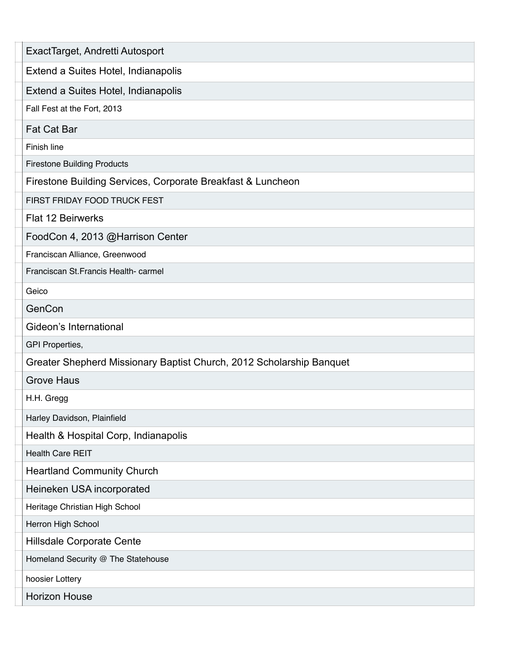| ExactTarget, Andretti Autosport                                      |
|----------------------------------------------------------------------|
| Extend a Suites Hotel, Indianapolis                                  |
| Extend a Suites Hotel, Indianapolis                                  |
| Fall Fest at the Fort, 2013                                          |
| <b>Fat Cat Bar</b>                                                   |
| Finish line                                                          |
| <b>Firestone Building Products</b>                                   |
| Firestone Building Services, Corporate Breakfast & Luncheon          |
| FIRST FRIDAY FOOD TRUCK FEST                                         |
| <b>Flat 12 Beirwerks</b>                                             |
| FoodCon 4, 2013 @Harrison Center                                     |
| Franciscan Alliance, Greenwood                                       |
| Franciscan St. Francis Health-carmel                                 |
| Geico                                                                |
| GenCon                                                               |
| Gideon's International                                               |
| <b>GPI Properties,</b>                                               |
| Greater Shepherd Missionary Baptist Church, 2012 Scholarship Banquet |
| <b>Grove Haus</b>                                                    |
| H.H. Gregg                                                           |
| Harley Davidson, Plainfield                                          |
| Health & Hospital Corp, Indianapolis                                 |
| <b>Health Care REIT</b>                                              |
| <b>Heartland Community Church</b>                                    |
| Heineken USA incorporated                                            |
| Heritage Christian High School                                       |
| Herron High School                                                   |
| Hillsdale Corporate Cente                                            |
| Homeland Security @ The Statehouse                                   |
| hoosier Lottery                                                      |
| <b>Horizon House</b>                                                 |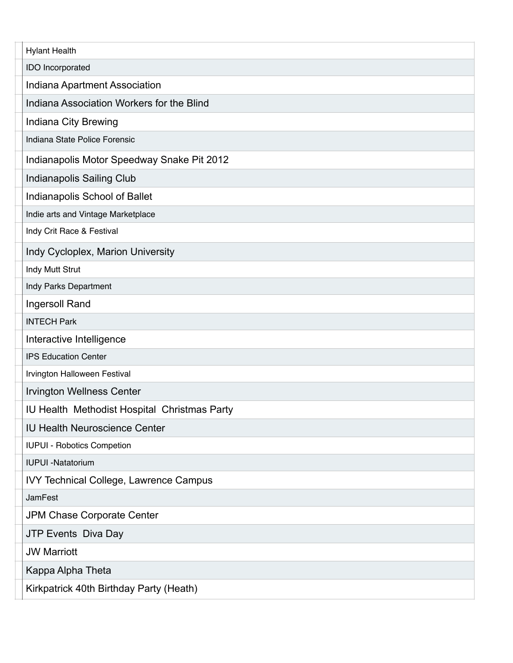| <b>Hylant Health</b>                         |
|----------------------------------------------|
| IDO Incorporated                             |
| Indiana Apartment Association                |
| Indiana Association Workers for the Blind    |
| Indiana City Brewing                         |
| Indiana State Police Forensic                |
| Indianapolis Motor Speedway Snake Pit 2012   |
| Indianapolis Sailing Club                    |
| Indianapolis School of Ballet                |
| Indie arts and Vintage Marketplace           |
| Indy Crit Race & Festival                    |
| Indy Cycloplex, Marion University            |
| Indy Mutt Strut                              |
| Indy Parks Department                        |
| Ingersoll Rand                               |
| <b>INTECH Park</b>                           |
| Interactive Intelligence                     |
| <b>IPS Education Center</b>                  |
| Irvington Halloween Festival                 |
| <b>Irvington Wellness Center</b>             |
| IU Health Methodist Hospital Christmas Party |
| <b>IU Health Neuroscience Center</b>         |
| <b>IUPUI - Robotics Competion</b>            |
| <b>IUPUI -Natatorium</b>                     |
| IVY Technical College, Lawrence Campus       |
| <b>JamFest</b>                               |
| JPM Chase Corporate Center                   |
| JTP Events Diva Day                          |
| <b>JW Marriott</b>                           |
| Kappa Alpha Theta                            |
| Kirkpatrick 40th Birthday Party (Heath)      |
|                                              |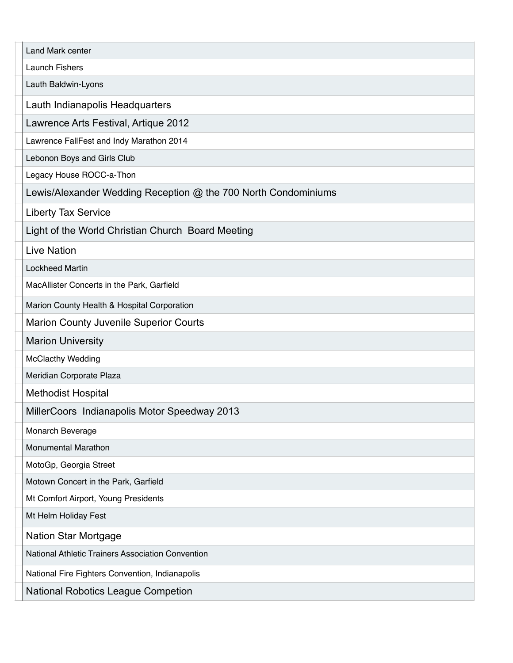| Land Mark center                                               |
|----------------------------------------------------------------|
| <b>Launch Fishers</b>                                          |
| Lauth Baldwin-Lyons                                            |
| Lauth Indianapolis Headquarters                                |
| Lawrence Arts Festival, Artique 2012                           |
| Lawrence FallFest and Indy Marathon 2014                       |
| Lebonon Boys and Girls Club                                    |
| Legacy House ROCC-a-Thon                                       |
| Lewis/Alexander Wedding Reception @ the 700 North Condominiums |
| Liberty Tax Service                                            |
| Light of the World Christian Church Board Meeting              |
| <b>Live Nation</b>                                             |
| <b>Lockheed Martin</b>                                         |
| MacAllister Concerts in the Park, Garfield                     |
| Marion County Health & Hospital Corporation                    |
| Marion County Juvenile Superior Courts                         |
| <b>Marion University</b>                                       |
| <b>McClacthy Wedding</b>                                       |
| Meridian Corporate Plaza                                       |
| <b>Methodist Hospital</b>                                      |
| MillerCoors Indianapolis Motor Speedway 2013                   |
| Monarch Beverage                                               |
| <b>Monumental Marathon</b>                                     |
| MotoGp, Georgia Street                                         |
| Motown Concert in the Park, Garfield                           |
| Mt Comfort Airport, Young Presidents                           |
| Mt Helm Holiday Fest                                           |
| <b>Nation Star Mortgage</b>                                    |
| National Athletic Trainers Association Convention              |
| National Fire Fighters Convention, Indianapolis                |
| <b>National Robotics League Competion</b>                      |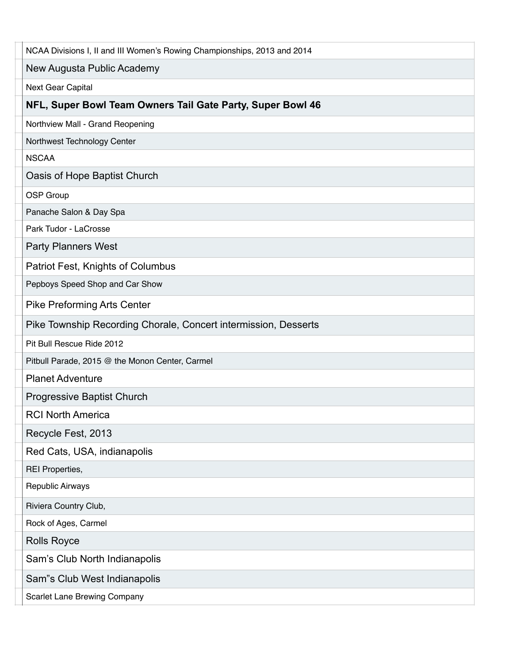| NCAA Divisions I, II and III Women's Rowing Championships, 2013 and 2014 |
|--------------------------------------------------------------------------|
| New Augusta Public Academy                                               |
| Next Gear Capital                                                        |
| NFL, Super Bowl Team Owners Tail Gate Party, Super Bowl 46               |
| Northview Mall - Grand Reopening                                         |
| Northwest Technology Center                                              |
| <b>NSCAA</b>                                                             |
| Oasis of Hope Baptist Church                                             |
| OSP Group                                                                |
| Panache Salon & Day Spa                                                  |
| Park Tudor - LaCrosse                                                    |
| <b>Party Planners West</b>                                               |
| Patriot Fest, Knights of Columbus                                        |
| Pepboys Speed Shop and Car Show                                          |
| <b>Pike Preforming Arts Center</b>                                       |
| Pike Township Recording Chorale, Concert intermission, Desserts          |
| Pit Bull Rescue Ride 2012                                                |
| Pitbull Parade, 2015 @ the Monon Center, Carmel                          |
| <b>Planet Adventure</b>                                                  |
| <b>Progressive Baptist Church</b>                                        |
| <b>RCI North America</b>                                                 |
| Recycle Fest, 2013                                                       |
| Red Cats, USA, indianapolis                                              |
| <b>REI Properties,</b>                                                   |
| <b>Republic Airways</b>                                                  |
| Riviera Country Club,                                                    |
| Rock of Ages, Carmel                                                     |
| <b>Rolls Royce</b>                                                       |
| Sam's Club North Indianapolis                                            |
| Sam"s Club West Indianapolis                                             |
| <b>Scarlet Lane Brewing Company</b>                                      |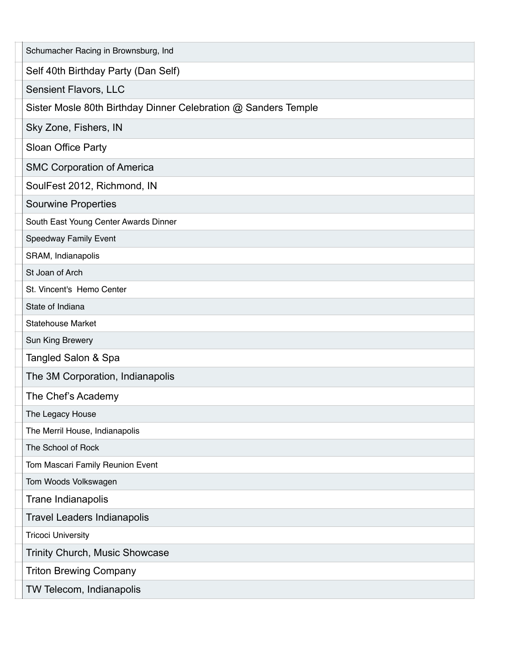| Schumacher Racing in Brownsburg, Ind                           |
|----------------------------------------------------------------|
| Self 40th Birthday Party (Dan Self)                            |
| <b>Sensient Flavors, LLC</b>                                   |
| Sister Mosle 80th Birthday Dinner Celebration @ Sanders Temple |
| Sky Zone, Fishers, IN                                          |
| Sloan Office Party                                             |
| <b>SMC Corporation of America</b>                              |
| SoulFest 2012, Richmond, IN                                    |
| <b>Sourwine Properties</b>                                     |
| South East Young Center Awards Dinner                          |
| Speedway Family Event                                          |
| SRAM, Indianapolis                                             |
| St Joan of Arch                                                |
| St. Vincent's Hemo Center                                      |
| State of Indiana                                               |
| <b>Statehouse Market</b>                                       |
| Sun King Brewery                                               |
| Tangled Salon & Spa                                            |
| The 3M Corporation, Indianapolis                               |
| The Chef's Academy                                             |
| The Legacy House                                               |
| The Merril House, Indianapolis                                 |
| The School of Rock                                             |
| Tom Mascari Family Reunion Event                               |
| Tom Woods Volkswagen                                           |
| Trane Indianapolis                                             |
| <b>Travel Leaders Indianapolis</b>                             |
| <b>Tricoci University</b>                                      |
| Trinity Church, Music Showcase                                 |
| <b>Triton Brewing Company</b>                                  |
| TW Telecom, Indianapolis                                       |